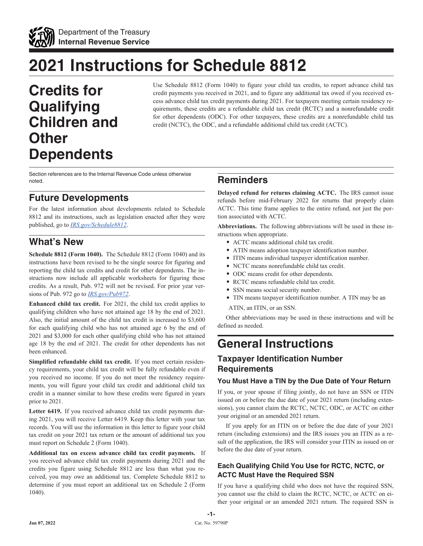

# **2021 Instructions for Schedule 8812**

**Credits for Qualifying Children and Other Dependents**

Use Schedule 8812 (Form 1040) to figure your child tax credits, to report advance child tax credit payments you received in 2021, and to figure any additional tax owed if you received excess advance child tax credit payments during 2021. For taxpayers meeting certain residency requirements, these credits are a refundable child tax credit (RCTC) and a nonrefundable credit for other dependents (ODC). For other taxpayers, these credits are a nonrefundable child tax credit (NCTC), the ODC, and a refundable additional child tax credit (ACTC).

Section references are to the Internal Revenue Code unless otherwise noted.

# **Future Developments**

For the latest information about developments related to Schedule 8812 and its instructions, such as legislation enacted after they were published, go to *[IRS.gov/Schedule8812](https://www.irs.gov/schedule8812)*.

# **What's New**

**Schedule 8812 (Form 1040).** The Schedule 8812 (Form 1040) and its instructions have been revised to be the single source for figuring and reporting the child tax credits and credit for other dependents. The instructions now include all applicable worksheets for figuring these credits. As a result, Pub. 972 will not be revised. For prior year versions of Pub. 972 go to *[IRS.gov/Pub972](https://www.irs.gov/pub972)*.

**Enhanced child tax credit.** For 2021, the child tax credit applies to qualifying children who have not attained age 18 by the end of 2021. Also, the initial amount of the child tax credit is increased to \$3,600 for each qualifying child who has not attained age 6 by the end of 2021 and \$3,000 for each other qualifying child who has not attained age 18 by the end of 2021. The credit for other dependents has not been enhanced.

**Simplified refundable child tax credit.** If you meet certain residency requirements, your child tax credit will be fully refundable even if you received no income. If you do not meet the residency requirements, you will figure your child tax credit and additional child tax credit in a manner similar to how these credits were figured in years prior to 2021.

**Letter 6419.** If you received advance child tax credit payments during 2021, you will receive Letter 6419. Keep this letter with your tax records. You will use the information in this letter to figure your child tax credit on your 2021 tax return or the amount of additional tax you must report on Schedule 2 (Form 1040).

**Additional tax on excess advance child tax credit payments.** If you received advance child tax credit payments during 2021 and the credits you figure using Schedule 8812 are less than what you received, you may owe an additional tax. Complete Schedule 8812 to determine if you must report an additional tax on Schedule 2 (Form 1040).

# **Reminders**

**Delayed refund for returns claiming ACTC.** The IRS cannot issue refunds before mid-February 2022 for returns that properly claim ACTC. This time frame applies to the entire refund, not just the portion associated with ACTC.

**Abbreviations.** The following abbreviations will be used in these instructions when appropriate.

- ACTC means additional child tax credit.
- ATIN means adoption taxpayer identification number.
- ITIN means individual taxpayer identification number.
- NCTC means nonrefundable child tax credit.
- ODC means credit for other dependents.
- RCTC means refundable child tax credit.
- SSN means social security number.
- TIN means taxpayer identification number. A TIN may be an

ATIN, an ITIN, or an SSN.

Other abbreviations may be used in these instructions and will be defined as needed.

# **General Instructions**

## **Taxpayer Identification Number Requirements**

#### **You Must Have a TIN by the Due Date of Your Return**

If you, or your spouse if filing jointly, do not have an SSN or ITIN issued on or before the due date of your 2021 return (including extensions), you cannot claim the RCTC, NCTC, ODC, or ACTC on either your original or an amended 2021 return.

If you apply for an ITIN on or before the due date of your 2021 return (including extensions) and the IRS issues you an ITIN as a result of the application, the IRS will consider your ITIN as issued on or before the due date of your return.

#### **Each Qualifying Child You Use for RCTC, NCTC, or ACTC Must Have the Required SSN**

If you have a qualifying child who does not have the required SSN, you cannot use the child to claim the RCTC, NCTC, or ACTC on either your original or an amended 2021 return. The required SSN is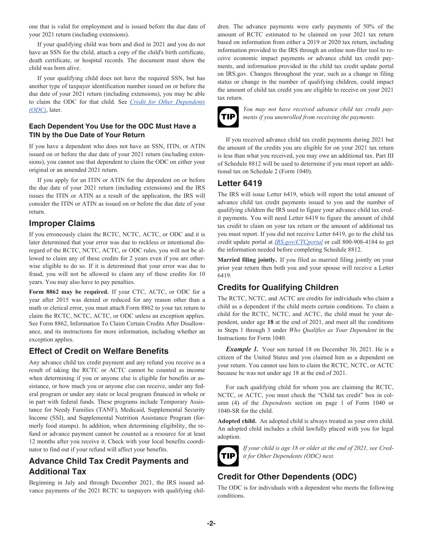<span id="page-1-0"></span>one that is valid for employment and is issued before the due date of your 2021 return (including extensions).

If your qualifying child was born and died in 2021 and you do not have an SSN for the child, attach a copy of the child's birth certificate, death certificate, or hospital records. The document must show the child was born alive.

If your qualifying child does not have the required SSN, but has another type of taxpayer identification number issued on or before the due date of your 2021 return (including extensions), you may be able to claim the ODC for that child. See *Credit for Other Dependents (ODC)*, later.

#### **Each Dependent You Use for the ODC Must Have a TIN by the Due Date of Your Return**

If you have a dependent who does not have an SSN, ITIN, or ATIN issued on or before the due date of your 2021 return (including extensions), you cannot use that dependent to claim the ODC on either your original or an amended 2021 return.

If you apply for an ITIN or ATIN for the dependent on or before the due date of your 2021 return (including extensions) and the IRS issues the ITIN or ATIN as a result of the application, the IRS will consider the ITIN or ATIN as issued on or before the due date of your return.

#### **Improper Claims**

If you erroneously claim the RCTC, NCTC, ACTC, or ODC and it is later determined that your error was due to reckless or intentional disregard of the RCTC, NCTC, ACTC, or ODC rules, you will not be allowed to claim any of these credits for 2 years even if you are otherwise eligible to do so. If it is determined that your error was due to fraud, you will not be allowed to claim any of these credits for 10 years. You may also have to pay penalties.

**Form 8862 may be required.** If your CTC, ACTC, or ODC for a year after 2015 was denied or reduced for any reason other than a math or clerical error, you must attach Form 8862 to your tax return to claim the RCTC, NCTC, ACTC, or ODC unless an exception applies. See Form 8862, Information To Claim Certain Credits After Disallowance, and its instructions for more information, including whether an exception applies.

## **Effect of Credit on Welfare Benefits**

Any advance child tax credit payment and any refund you receive as a result of taking the RCTC or ACTC cannot be counted as income when determining if you or anyone else is eligible for benefits or assistance, or how much you or anyone else can receive, under any federal program or under any state or local program financed in whole or in part with federal funds. These programs include Temporary Assistance for Needy Families (TANF), Medicaid, Supplemental Security Income (SSI), and Supplemental Nutrition Assistance Program (formerly food stamps). In addition, when determining eligibility, the refund or advance payment cannot be counted as a resource for at least 12 months after you receive it. Check with your local benefits coordinator to find out if your refund will affect your benefits.

# **Advance Child Tax Credit Payments and Additional Tax**

Beginning in July and through December 2021, the IRS issued advance payments of the 2021 RCTC to taxpayers with qualifying children. The advance payments were early payments of 50% of the amount of RCTC estimated to be claimed on your 2021 tax return based on information from either a 2019 or 2020 tax return, including information provided to the IRS through an online non-filer tool to receive economic impact payments or advance child tax credit payments, and information provided in the child tax credit update portal on IRS.gov. Changes throughout the year, such as a change in filing status or change in the number of qualifying children, could impact the amount of child tax credit you are eligible to receive on your 2021 tax return.



*You may not have received advance child tax credit payments if you unenrolled from receiving the payments.*

If you received advance child tax credit payments during 2021 but the amount of the credits you are eligible for on your 2021 tax return is less than what you received, you may owe an additional tax. Part III of Schedule 8812 will be used to determine if you must report an additional tax on Schedule 2 (Form 1040).

#### **Letter 6419**

The IRS will issue Letter 6419, which will report the total amount of advance child tax credit payments issued to you and the number of qualifying children the IRS used to figure your advance child tax credit payments. You will need Letter 6419 to figure the amount of child tax credit to claim on your tax return or the amount of additional tax you must report. If you did not receive Letter 6419, go to the child tax credit update portal at *[IRS.gov/CTCportal](https://www.irs.gov/credits-deductions/child-tax-credit-update-portal)* or call 800-908-4184 to get the information needed before completing Schedule 8812.

**Married filing jointly.** If you filed as married filing jointly on your prior year return then both you and your spouse will receive a Letter 6419.

# **Credits for Qualifying Children**

The RCTC, NCTC, and ACTC are credits for individuals who claim a child as a dependent if the child meets certain conditions. To claim a child for the RCTC, NCTC, and ACTC, the child must be your dependent, under age **18** at the end of 2021, and meet all the conditions in Steps 1 through 3 under *Who Qualifies as Your Dependent* in the Instructions for Form 1040.

*Example 1.* Your son turned 18 on December 30, 2021. He is a citizen of the United States and you claimed him as a dependent on your return. You cannot use him to claim the RCTC, NCTC, or ACTC because he was not under age 18 at the end of 2021.

For each qualifying child for whom you are claiming the RCTC, NCTC, or ACTC, you must check the "Child tax credit" box in column (4) of the *Dependents* section on page 1 of Form 1040 or 1040-SR for the child.

**Adopted child.** An adopted child is always treated as your own child. An adopted child includes a child lawfully placed with you for legal adoption.



*If your child is age 18 or older at the end of 2021, see Credit for Other Dependents (ODC) next.*

# **Credit for Other Dependents (ODC)**

The ODC is for individuals with a dependent who meets the following conditions.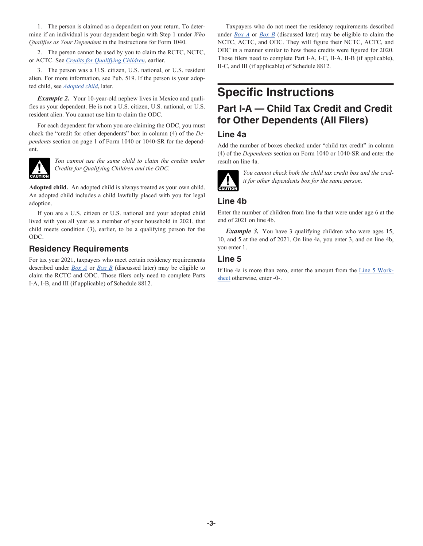1. The person is claimed as a dependent on your return. To determine if an individual is your dependent begin with Step 1 under *Who Qualifies as Your Dependent* in the Instructions for Form 1040.

2. The person cannot be used by you to claim the RCTC, NCTC, or ACTC. See *[Credits for Qualifying Children](#page-1-0)*, earlier.

3. The person was a U.S. citizen, U.S. national, or U.S. resident alien. For more information, see Pub. 519. If the person is your adopted child, see *Adopted child*, later.

**Example 2.** Your 10-year-old nephew lives in Mexico and qualifies as your dependent. He is not a U.S. citizen, U.S. national, or U.S. resident alien. You cannot use him to claim the ODC.

For each dependent for whom you are claiming the ODC, you must check the "credit for other dependents" box in column (4) of the *Dependents* section on page 1 of Form 1040 or 1040-SR for the dependent.



*You cannot use the same child to claim the credits under Credits for Qualifying Children and the ODC.*

**Adopted child.** An adopted child is always treated as your own child. An adopted child includes a child lawfully placed with you for legal adoption.

If you are a U.S. citizen or U.S. national and your adopted child lived with you all year as a member of your household in 2021, that child meets condition (3), earlier, to be a qualifying person for the ODC.

#### **Residency Requirements**

For tax year 2021, taxpayers who meet certain residency requirements described under *[Box A](#page-3-0)* or *[Box B](#page-3-0)* (discussed later) may be eligible to claim the RCTC and ODC. Those filers only need to complete Parts I-A, I-B, and III (if applicable) of Schedule 8812.

Taxpayers who do not meet the residency requirements described under *[Box A](#page-3-0)* or *[Box B](#page-3-0)* (discussed later) may be eligible to claim the NCTC, ACTC, and ODC. They will figure their NCTC, ACTC, and ODC in a manner similar to how these credits were figured for 2020. Those filers need to complete Part I-A, I-C, II-A, II-B (if applicable), II-C, and III (if applicable) of Schedule 8812.

# **Specific Instructions**

# **Part I-A — Child Tax Credit and Credit for Other Dependents (All Filers)**

#### **Line 4a**

Add the number of boxes checked under "child tax credit" in column (4) of the *Dependents* section on Form 1040 or 1040-SR and enter the result on line 4a.



*You cannot check both the child tax credit box and the credit for other dependents box for the same person.*

#### **Line 4b**

Enter the number of children from line 4a that were under age 6 at the end of 2021 on line 4b.

*Example 3.* You have 3 qualifying children who were ages 15, 10, and 5 at the end of 2021. On line 4a, you enter 3, and on line 4b, you enter 1.

## **Line 5**

If line 4a is more than zero, enter the amount from the [Line 5 Work](#page-3-0)[sheet](#page-3-0) otherwise, enter -0-.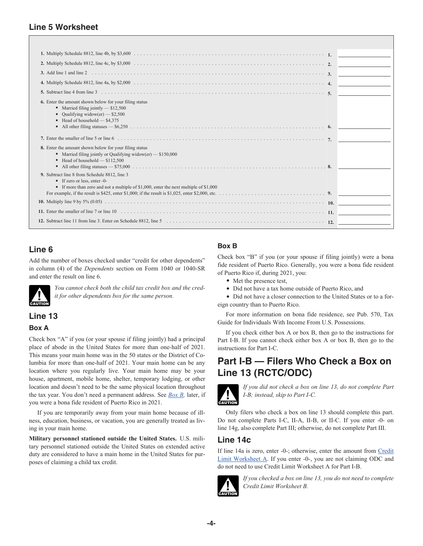## <span id="page-3-0"></span>**Line 5 Worksheet**

| 3. Add line 1 and line 2                                                                                                                                                                                                                                                                                                                                                          |  |
|-----------------------------------------------------------------------------------------------------------------------------------------------------------------------------------------------------------------------------------------------------------------------------------------------------------------------------------------------------------------------------------|--|
|                                                                                                                                                                                                                                                                                                                                                                                   |  |
| 5. Subtract line 4 from line 3                                                                                                                                                                                                                                                                                                                                                    |  |
| <b>6.</b> Enter the amount shown below for your filing status<br>• Married filing jointly $- $12,500$<br>Oualifying widow(er) $-$ \$2,500<br>Head of household - \$4,375<br>All other filing statuses $-$ \$6,250 $\ldots$ $\ldots$ $\ldots$ $\ldots$ $\ldots$ $\ldots$ $\ldots$ $\ldots$ $\ldots$ $\ldots$ $\ldots$ $\ldots$ $\ldots$ $\ldots$ $\ldots$ $\ldots$ 6.<br>$\bullet$ |  |
|                                                                                                                                                                                                                                                                                                                                                                                   |  |
| 8. Enter the amount shown below for your filing status<br>• Married filing jointly or Qualifying widow(er) $-$ \$150,000<br>$\bullet$ Head of household $- $112,500$<br>$\bullet$                                                                                                                                                                                                 |  |
| 9. Subtract line 8 from Schedule 8812, line 3<br>• If zero or less, enter -0-<br>• If more than zero and not a multiple of \$1,000, enter the next multiple of \$1,000                                                                                                                                                                                                            |  |
|                                                                                                                                                                                                                                                                                                                                                                                   |  |
|                                                                                                                                                                                                                                                                                                                                                                                   |  |
|                                                                                                                                                                                                                                                                                                                                                                                   |  |

# **Line 6**

Add the number of boxes checked under "credit for other dependents" in column (4) of the *Dependents* section on Form 1040 or 1040-SR and enter the result on line 6.



*You cannot check both the child tax credit box and the credit for other dependents box for the same person.*

## **Line 13**

#### **Box A**

Check box "A" if you (or your spouse if filing jointly) had a principal place of abode in the United States for more than one-half of 2021. This means your main home was in the 50 states or the District of Columbia for more than one-half of 2021. Your main home can be any location where you regularly live. Your main home may be your house, apartment, mobile home, shelter, temporary lodging, or other location and doesn't need to be the same physical location throughout the tax year. You don't need a permanent address. See *Box B,* later, if you were a bona fide resident of Puerto Rico in 2021.

If you are temporarily away from your main home because of illness, education, business, or vacation, you are generally treated as living in your main home.

**Military personnel stationed outside the United States.** U.S. military personnel stationed outside the United States on extended active duty are considered to have a main home in the United States for purposes of claiming a child tax credit.

## **Box B**

Check box "B" if you (or your spouse if filing jointly) were a bona fide resident of Puerto Rico. Generally, you were a bona fide resident of Puerto Rico if, during 2021, you:

- Met the presence test,
- Did not have a tax home outside of Puerto Rico, and

• Did not have a closer connection to the United States or to a foreign country than to Puerto Rico.

For more information on bona fide residence, see Pub. 570, Tax Guide for Individuals With Income From U.S. Possessions.

If you check either box A or box B, then go to the instructions for Part I-B. If you cannot check either box A or box B, then go to the instructions for Part I-C.

# **Part I-B — Filers Who Check a Box on Line 13 (RCTC/ODC)**



*If you did not check a box on line 13, do not complete Part I-B; instead, skip to Part I-C.*

Only filers who check a box on line 13 should complete this part. Do not complete Parts I-C, II-A, II-B, or II-C. If you enter -0- on line 14g, also complete Part III; otherwise, do not complete Part III.

## **Line 14c**

If line 14a is zero, enter -0-; otherwise, enter the amount from [Credit](#page-4-0) [Limit Worksheet A.](#page-4-0) If you enter -0-, you are not claiming ODC and do not need to use Credit Limit Worksheet A for Part I-B.



*If you checked a box on line 13, you do not need to complete Credit Limit Worksheet B.*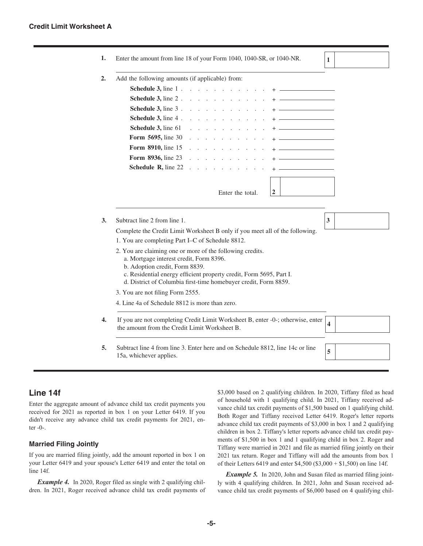<span id="page-4-0"></span>

| 1.               | Enter the amount from line 18 of your Form 1040, 1040-SR, or 1040-NR.                                                                                                                                                                                                               | $\mathbf{1}$ |  |  |  |
|------------------|-------------------------------------------------------------------------------------------------------------------------------------------------------------------------------------------------------------------------------------------------------------------------------------|--------------|--|--|--|
| 2.               | Add the following amounts (if applicable) from:                                                                                                                                                                                                                                     |              |  |  |  |
|                  | <b>Schedule 3, line 1</b>                                                                                                                                                                                                                                                           |              |  |  |  |
|                  | <b>Schedule 3, line 2</b>                                                                                                                                                                                                                                                           |              |  |  |  |
|                  | <b>Schedule 3, line 3</b>                                                                                                                                                                                                                                                           |              |  |  |  |
|                  | <b>Schedule 3, line 4</b>                                                                                                                                                                                                                                                           |              |  |  |  |
|                  | Schedule 3, line 61<br>$+$ ______________________<br>design and a state of the state of the state of the state of the state of the state of the state of the state of the state of the state of the state of the state of the state of the state of the state of the state of the s |              |  |  |  |
|                  | <b>Form 5695, line 30</b><br>and the contract of the contract of                                                                                                                                                                                                                    |              |  |  |  |
|                  | <b>Form 8910, line 15</b>                                                                                                                                                                                                                                                           |              |  |  |  |
|                  | <b>Form 8936, line 23</b><br>$+$                                                                                                                                                                                                                                                    |              |  |  |  |
|                  | <b>Schedule R, line 22</b>                                                                                                                                                                                                                                                          |              |  |  |  |
|                  | $+ -$                                                                                                                                                                                                                                                                               |              |  |  |  |
|                  |                                                                                                                                                                                                                                                                                     |              |  |  |  |
|                  | $\overline{2}$<br>Enter the total.                                                                                                                                                                                                                                                  |              |  |  |  |
|                  |                                                                                                                                                                                                                                                                                     |              |  |  |  |
| 3.               | Subtract line 2 from line 1.                                                                                                                                                                                                                                                        | 3            |  |  |  |
|                  | Complete the Credit Limit Worksheet B only if you meet all of the following.                                                                                                                                                                                                        |              |  |  |  |
|                  | 1. You are completing Part I–C of Schedule 8812.                                                                                                                                                                                                                                    |              |  |  |  |
|                  | 2. You are claiming one or more of the following credits.<br>a. Mortgage interest credit, Form 8396.<br>b. Adoption credit, Form 8839.<br>c. Residential energy efficient property credit, Form 5695, Part I.<br>d. District of Columbia first-time homebuyer credit, Form 8859.    |              |  |  |  |
|                  | 3. You are not filing Form 2555.                                                                                                                                                                                                                                                    |              |  |  |  |
|                  | 4. Line 4a of Schedule 8812 is more than zero.                                                                                                                                                                                                                                      |              |  |  |  |
| $\overline{4}$ . | If you are not completing Credit Limit Worksheet B, enter -0-; otherwise, enter<br>the amount from the Credit Limit Worksheet B.                                                                                                                                                    |              |  |  |  |
| 5.               | Subtract line 4 from line 3. Enter here and on Schedule 8812, line 14c or line<br>15a, whichever applies.                                                                                                                                                                           |              |  |  |  |

#### **Line 14f**

Enter the aggregate amount of advance child tax credit payments you received for 2021 as reported in box 1 on your Letter 6419. If you didn't receive any advance child tax credit payments for 2021, enter -0-.

#### **Married Filing Jointly**

If you are married filing jointly, add the amount reported in box 1 on your Letter 6419 and your spouse's Letter 6419 and enter the total on line 14f.

*Example 4.* In 2020, Roger filed as single with 2 qualifying children. In 2021, Roger received advance child tax credit payments of \$3,000 based on 2 qualifying children. In 2020, Tiffany filed as head of household with 1 qualifying child. In 2021, Tiffany received advance child tax credit payments of \$1,500 based on 1 qualifying child. Both Roger and Tiffany received Letter 6419. Roger's letter reports advance child tax credit payments of \$3,000 in box 1 and 2 qualifying children in box 2. Tiffany's letter reports advance child tax credit payments of \$1,500 in box 1 and 1 qualifying child in box 2. Roger and Tiffany were married in 2021 and file as married filing jointly on their 2021 tax return. Roger and Tiffany will add the amounts from box 1 of their Letters 6419 and enter \$4,500 (\$3,000 + \$1,500) on line 14f.

*Example 5.* In 2020, John and Susan filed as married filing jointly with 4 qualifying children. In 2021, John and Susan received advance child tax credit payments of \$6,000 based on 4 qualifying chil-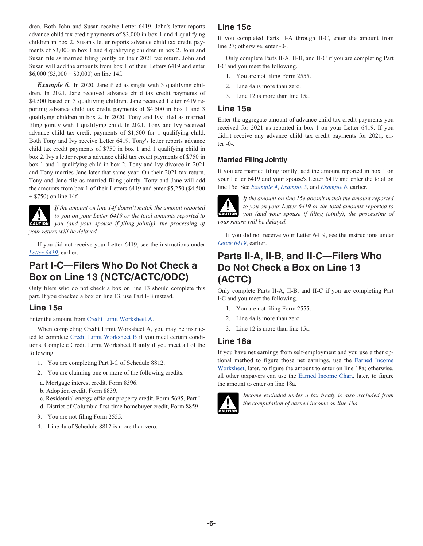<span id="page-5-0"></span>dren. Both John and Susan receive Letter 6419. John's letter reports advance child tax credit payments of \$3,000 in box 1 and 4 qualifying children in box 2. Susan's letter reports advance child tax credit payments of \$3,000 in box 1 and 4 qualifying children in box 2. John and Susan file as married filing jointly on their 2021 tax return. John and Susan will add the amounts from box 1 of their Letters 6419 and enter  $$6,000$  (\$3,000 + \$3,000) on line 14f.

*Example 6.* In 2020, Jane filed as single with 3 qualifying children. In 2021, Jane received advance child tax credit payments of \$4,500 based on 3 qualifying children. Jane received Letter 6419 reporting advance child tax credit payments of \$4,500 in box 1 and 3 qualifying children in box 2. In 2020, Tony and Ivy filed as married filing jointly with 1 qualifying child. In 2021, Tony and Ivy received advance child tax credit payments of \$1,500 for 1 qualifying child. Both Tony and Ivy receive Letter 6419. Tony's letter reports advance child tax credit payments of \$750 in box 1 and 1 qualifying child in box 2. Ivy's letter reports advance child tax credit payments of \$750 in box 1 and 1 qualifying child in box 2. Tony and Ivy divorce in 2021 and Tony marries Jane later that same year. On their 2021 tax return, Tony and Jane file as married filing jointly. Tony and Jane will add the amounts from box 1 of their Letters 6419 and enter \$5,250 (\$4,500 + \$750) on line 14f.

*If the amount on line 14f doesn't match the amount reported to you on your Letter 6419 or the total amounts reported to you on your Letter 6419 or the total amounts reported to you (and your spouse if filing jointly), the processing of your return will be delayed.*

If you did not receive your Letter 6419, see the instructions under *[Letter 6419](#page-1-0)*, earlier.

# **Part I-C—Filers Who Do Not Check a Box on Line 13 (NCTC/ACTC/ODC)**

Only filers who do not check a box on line 13 should complete this part. If you checked a box on line 13, use Part I-B instead.

## **Line 15a**

Enter the amount from [Credit Limit Worksheet A.](#page-4-0)

When completing Credit Limit Worksheet A, you may be instruc-ted to complete [Credit Limit Worksheet B](#page-6-0) if you meet certain conditions. Complete Credit Limit Worksheet B **only** if you meet all of the following.

- 1. You are completing Part I-C of Schedule 8812.
- 2. You are claiming one or more of the following credits.
- a. Mortgage interest credit, Form 8396.
- b. Adoption credit, Form 8839.
- c. Residential energy efficient property credit, Form 5695, Part I.
- d. District of Columbia first-time homebuyer credit, Form 8859.
- 3. You are not filing Form 2555.
- 4. Line 4a of Schedule 8812 is more than zero.

## **Line 15c**

If you completed Parts II-A through II-C, enter the amount from line 27; otherwise, enter -0-.

Only complete Parts II-A, II-B, and II-C if you are completing Part I-C and you meet the following.

- 1. You are not filing Form 2555.
- 2. Line 4a is more than zero.
- 3. Line 12 is more than line 15a.

#### **Line 15e**

Enter the aggregate amount of advance child tax credit payments you received for 2021 as reported in box 1 on your Letter 6419. If you didn't receive any advance child tax credit payments for 2021, enter -0-.

#### **Married Filing Jointly**

If you are married filing jointly, add the amount reported in box 1 on your Letter 6419 and your spouse's Letter 6419 and enter the total on line 15e. See *[Example 4](#page-4-0)*, *[Example 5](#page-4-0)*, and *Example 6*, earlier.



*If the amount on line 15e doesn't match the amount reported to you on your Letter 6419 or the total amounts reported to you on your Letter 6419 or the total amounts reported to you (and your spouse if filing jointly), the processing of your return will be delayed.*

If you did not receive your Letter 6419, see the instructions under *[Letter 6419](#page-1-0)*, earlier.

# **Parts II-A, II-B, and II-C—Filers Who Do Not Check a Box on Line 13 (ACTC)**

Only complete Parts II-A, II-B, and II-C if you are completing Part I-C and you meet the following.

- 1. You are not filing Form 2555.
- 2. Line 4a is more than zero.
- 3. Line 12 is more than line 15a.

#### **Line 18a**

If you have net earnings from self-employment and you use either optional method to figure those net earnings, use the [Earned Income](#page-9-0) [Worksheet,](#page-9-0) later, to figure the amount to enter on line 18a; otherwise, all other taxpayers can use the [Earned Income Chart](#page-8-0), later, to figure the amount to enter on line 18a.



*Income excluded under a tax treaty is also excluded from the computation of earned income on line 18a.*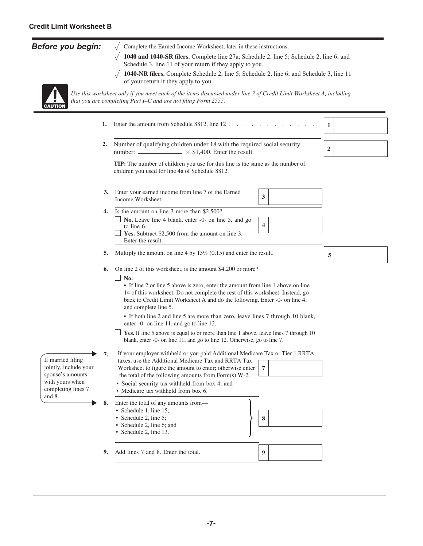## <span id="page-6-0"></span>*Before you begin:*



and 8.

 $\sqrt{\phantom{a}}$  Complete the Earned Income Worksheet, later in these instructions.

- $\sqrt{1040}$  and 1040-SR filers. Complete line 27a; Schedule 2, line 5; Schedule 2, line 6; and Schedule 3, line 11 of your return if they apply to you.
- $\sqrt{1040\text{-}NR}$  filers. Complete Schedule 2, line 5; Schedule 2, line 6; and Schedule 3, line 11 of your return if they apply to you.

*Use this worksheet only if you meet each of the items discussed under line 3 of Credit Limit Worksheet A, including that you are completing Part I–C and are not filing Form 2555.* 

**6.** On line 2 of this worksheet, is the amount \$4,200 or more? **8. 7** If your employer withheld or you paid Additional Medicare Tax or Tier 1 RRTA taxes, use the Additional Medicare Tax and RRTA Tax Worksheet to figure the amount to enter; otherwise enter the total of the following amounts from Form(s) W-2. Enter the total of any amounts from— • Schedule 1, line 15; • Schedule 2, line 5; • Schedule 2, line 6; and • Schedule 2, line 13. **8** • Social security tax withheld from box 4, and • Medicare tax withheld from box 6. **3.** Enter your earned income from line 7 of the Earned  $\begin{array}{c} \hline \end{array}$ Income Worksheet. ■ **No.** Leave line 4 blank, enter -0- on line 5, and go to line 6. **4.** Is the amount on line 3 more than \$2,500? **Yes.** Subtract \$2,500 from the amount on line 3. Enter the result. **5.** Multiply the amount on line 4 by 15% (0.15) and enter the result.  $\Box$  No. **4 5** If married filing jointly, include your spouse's amounts with yours when completing lines 7 **Yes.** If line 5 above is equal to or more than line 1 above, leave lines 7 through 10 blank, enter -0- on line 11, and go to line 12. Otherwise, go to line 7. **7.** • If line 2 or line 5 above is zero, enter the amount from line 1 above on line 14 of this worksheet. Do not complete the rest of this worksheet. Instead, go back to Credit Limit Worksheet A and do the following. Enter -0- on line 4, and complete line 5. • If both line 2 and line 5 are more than zero, leave lines 7 through 10 blank, enter -0- on line 11, and go to line 12. **1.** Enter the amount from Schedule 8812, line 12 . . . . . . . . . . . . **1 2.** Number of qualifying children under 18 with the required social security **2 TIP:** The number of children you use for this line is the same as the number of children you used for line 4a of Schedule 8812. number:  $\frac{\times \$1,400}{\times \$1,400}$ . Enter the result.

**9.** Add lines 7 and 8. Enter the total. **9**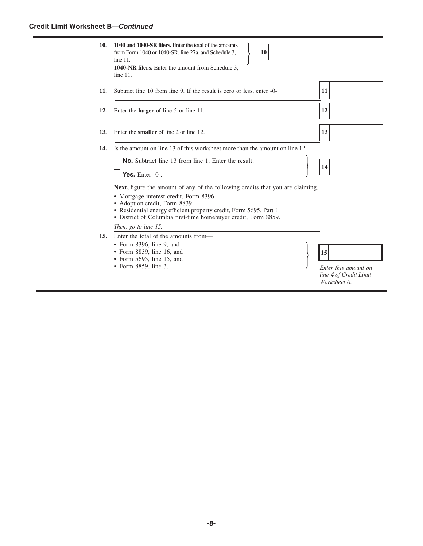#### **Credit Limit Worksheet B—***Continued*

| 10. | 1040 and 1040-SR filers. Enter the total of the amounts<br>10<br>from Form 1040 or 1040-SR, line 27a, and Schedule 3,<br>line 11.<br><b>1040-NR filers.</b> Enter the amount from Schedule 3,<br>line 11.                                                                                         |                                                      |
|-----|---------------------------------------------------------------------------------------------------------------------------------------------------------------------------------------------------------------------------------------------------------------------------------------------------|------------------------------------------------------|
| 11. | Subtract line 10 from line 9. If the result is zero or less, enter -0-.                                                                                                                                                                                                                           | 11                                                   |
| 12. | Enter the <b>larger</b> of line 5 or line 11.                                                                                                                                                                                                                                                     | 12                                                   |
| 13. | Enter the <b>smaller</b> of line 2 or line 12.                                                                                                                                                                                                                                                    | 13                                                   |
| 14. | Is the amount on line 13 of this worksheet more than the amount on line 1?                                                                                                                                                                                                                        |                                                      |
|     | <b>No.</b> Subtract line 13 from line 1. Enter the result.<br>Yes. Enter $-0$ -.                                                                                                                                                                                                                  | 14                                                   |
|     | Next, figure the amount of any of the following credits that you are claiming.<br>• Mortgage interest credit, Form 8396.<br>• Adoption credit, Form 8839.<br>• Residential energy efficient property credit, Form 5695, Part I.<br>• District of Columbia first-time homebuyer credit, Form 8859. |                                                      |
|     | Then, go to line 15.                                                                                                                                                                                                                                                                              |                                                      |
| 15. | Enter the total of the amounts from—<br>$\bullet$ Form 8396, line 9, and<br>• Form 8839, line 16, and<br>• Form $5695$ , line 15, and<br>• Form 8859, line 3.                                                                                                                                     | 15<br>Enter this amount on<br>line 4 of Credit Limit |

*Worksheet A.*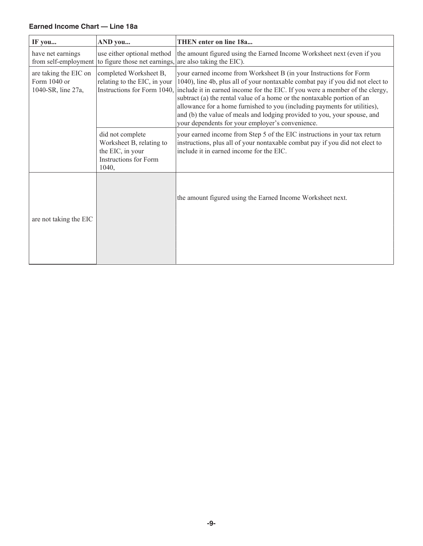#### <span id="page-8-0"></span>**Earned Income Chart — Line 18a**

| IF you                                                      | AND you                                                                                                    | <b>THEN</b> enter on line 18a                                                                                                                                                                                                                                                                                                                                                                                                                                                                                                |
|-------------------------------------------------------------|------------------------------------------------------------------------------------------------------------|------------------------------------------------------------------------------------------------------------------------------------------------------------------------------------------------------------------------------------------------------------------------------------------------------------------------------------------------------------------------------------------------------------------------------------------------------------------------------------------------------------------------------|
| have net earnings                                           | use either optional method<br>from self-employment to figure those net earnings, are also taking the EIC). | the amount figured using the Earned Income Worksheet next (even if you                                                                                                                                                                                                                                                                                                                                                                                                                                                       |
| are taking the EIC on<br>Form 1040 or<br>1040-SR, line 27a, | completed Worksheet B,<br>relating to the EIC, in your<br>Instructions for Form 1040,                      | your earned income from Worksheet B (in your Instructions for Form<br>1040), line 4b, plus all of your nontaxable combat pay if you did not elect to<br>include it in earned income for the EIC. If you were a member of the clergy,<br>subtract (a) the rental value of a home or the nontaxable portion of an<br>allowance for a home furnished to you (including payments for utilities),<br>and (b) the value of meals and lodging provided to you, your spouse, and<br>your dependents for your employer's convenience. |
|                                                             | did not complete<br>Worksheet B, relating to<br>the EIC, in your<br>Instructions for Form<br>1040,         | your earned income from Step 5 of the EIC instructions in your tax return<br>instructions, plus all of your nontaxable combat pay if you did not elect to<br>include it in earned income for the EIC.                                                                                                                                                                                                                                                                                                                        |
| are not taking the EIC                                      |                                                                                                            | the amount figured using the Earned Income Worksheet next.                                                                                                                                                                                                                                                                                                                                                                                                                                                                   |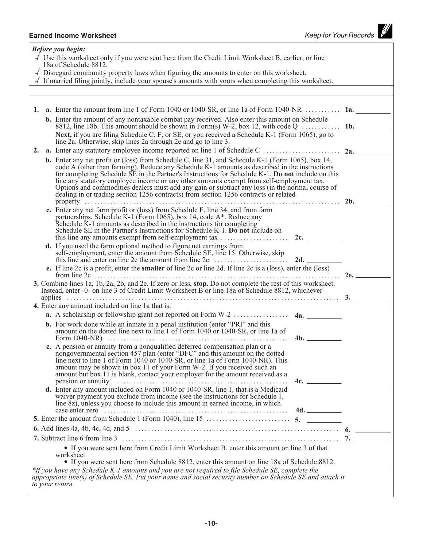# <span id="page-9-0"></span>**Earned Income Worksheet**<br> **Earned Income Worksheet**<br> **Earned Income Worksheet**

| <b>Before you begin:</b>                                                                                                                                                                                                                                                                                                                                                                                                                                                                                                                                                                              |     |
|-------------------------------------------------------------------------------------------------------------------------------------------------------------------------------------------------------------------------------------------------------------------------------------------------------------------------------------------------------------------------------------------------------------------------------------------------------------------------------------------------------------------------------------------------------------------------------------------------------|-----|
| $\sqrt{ }$ Use this worksheet only if you were sent here from the Credit Limit Worksheet B, earlier, or line<br>18a of Schedule 8812.                                                                                                                                                                                                                                                                                                                                                                                                                                                                 |     |
| $\sqrt{\phantom{a}}$ Disregard community property laws when figuring the amounts to enter on this worksheet.<br>$\sqrt{ }$ If married filing jointly, include your spouse's amounts with yours when completing this worksheet.                                                                                                                                                                                                                                                                                                                                                                        |     |
|                                                                                                                                                                                                                                                                                                                                                                                                                                                                                                                                                                                                       |     |
|                                                                                                                                                                                                                                                                                                                                                                                                                                                                                                                                                                                                       |     |
| 1. a. Enter the amount from line 1 of Form 1040 or 1040-SR, or line 1a of Form 1040-NR  1a.                                                                                                                                                                                                                                                                                                                                                                                                                                                                                                           |     |
| <b>b.</b> Enter the amount of any nontaxable combat pay received. Also enter this amount on Schedule<br>8812, line 18b. This amount should be shown in Form(s) W-2, box 12, with code $Q$ 1b.                                                                                                                                                                                                                                                                                                                                                                                                         |     |
| Next, if you are filing Schedule C, F, or SE, or you received a Schedule K-1 (Form 1065), go to<br>line 2a. Otherwise, skip lines 2a through 2e and go to line 3.                                                                                                                                                                                                                                                                                                                                                                                                                                     |     |
| 2.                                                                                                                                                                                                                                                                                                                                                                                                                                                                                                                                                                                                    |     |
| <b>b.</b> Enter any net profit or (loss) from Schedule C, line 31, and Schedule K-1 (Form 1065), box 14,<br>code A (other than farming). Reduce any Schedule K-1 amounts as described in the instructions<br>for completing Schedule SE in the Partner's Instructions for Schedule K-1. Do not include on this<br>line any statutory employee income or any other amounts exempt from self-employment tax.<br>Options and commodities dealers must add any gain or subtract any loss (in the normal course of<br>dealing in or trading section 1256 contracts) from section 1256 contracts or related |     |
| c. Enter any net farm profit or (loss) from Schedule F, line 34, and from farm<br>partnerships, Schedule K-1 (Form 1065), box 14, code A*. Reduce any<br>Schedule K-1 amounts as described in the instructions for completing<br>Schedule SE in the Partner's Instructions for Schedule K-1. Do not include on                                                                                                                                                                                                                                                                                        |     |
| <b>d.</b> If you used the farm optional method to figure net earnings from<br>self-employment, enter the amount from Schedule SE, line 15. Otherwise, skip<br>e. If line 2c is a profit, enter the smaller of line 2c or line 2d. If line 2c is a (loss), enter the (loss)                                                                                                                                                                                                                                                                                                                            |     |
|                                                                                                                                                                                                                                                                                                                                                                                                                                                                                                                                                                                                       |     |
| 3. Combine lines 1a, 1b, 2a, 2b, and 2e. If zero or less, stop. Do not complete the rest of this worksheet.<br>Instead, enter -0- on line 3 of Credit Limit Worksheet B or line 18a of Schedule 8812, whichever                                                                                                                                                                                                                                                                                                                                                                                       |     |
| applies $\ldots$ $\ldots$ $\ldots$ $\ldots$ $\ldots$ $\ldots$ $\ldots$ $\ldots$ $\ldots$ $\ldots$ $\ldots$ $\ldots$ $\ldots$ $\ldots$ $\ldots$ $\ldots$ $\ldots$ $\ldots$<br>4. Enter any amount included on line 1a that is:                                                                                                                                                                                                                                                                                                                                                                         |     |
| <b>a.</b> A scholarship or fellowship grant not reported on Form W-2 $\dots$ $\dots$ $\dots$ $\dots$ $4a.$                                                                                                                                                                                                                                                                                                                                                                                                                                                                                            |     |
| <b>b.</b> For work done while an inmate in a penal institution (enter "PRI" and this                                                                                                                                                                                                                                                                                                                                                                                                                                                                                                                  |     |
| amount on the dotted line next to line 1 of Form 1040 or 1040-SR, or line 1a of                                                                                                                                                                                                                                                                                                                                                                                                                                                                                                                       |     |
| c. A pension or annuity from a nonqualified deferred compensation plan or a<br>nongovernmental section 457 plan (enter "DFC" and this amount on the dotted<br>line next to line 1 of Form 1040 or 1040-SR, or line 1a of Form 1040-NR). This<br>amount may be shown in box 11 of your Form W-2. If you received such an<br>amount but box 11 is blank, contact your employer for the amount received as a                                                                                                                                                                                             | 4c. |
| d. Enter any amount included on Form 1040 or 1040-SR, line 1, that is a Medicaid<br>waiver payment you exclude from income (see the instructions for Schedule 1,<br>line 8z), unless you choose to include this amount in earned income, in which                                                                                                                                                                                                                                                                                                                                                     |     |
|                                                                                                                                                                                                                                                                                                                                                                                                                                                                                                                                                                                                       |     |
|                                                                                                                                                                                                                                                                                                                                                                                                                                                                                                                                                                                                       |     |
|                                                                                                                                                                                                                                                                                                                                                                                                                                                                                                                                                                                                       |     |
| • If you were sent here from Credit Limit Worksheet B, enter this amount on line 3 of that                                                                                                                                                                                                                                                                                                                                                                                                                                                                                                            |     |
| worksheet.<br>• If you were sent here from Schedule 8812, enter this amount on line 18a of Schedule 8812.                                                                                                                                                                                                                                                                                                                                                                                                                                                                                             |     |
| *If you have any Schedule K-1 amounts and you are not required to file Schedule SE, complete the<br>appropriate line(s) of Schedule SE. Put your name and social security number on Schedule SE and attach it<br>to your return.                                                                                                                                                                                                                                                                                                                                                                      |     |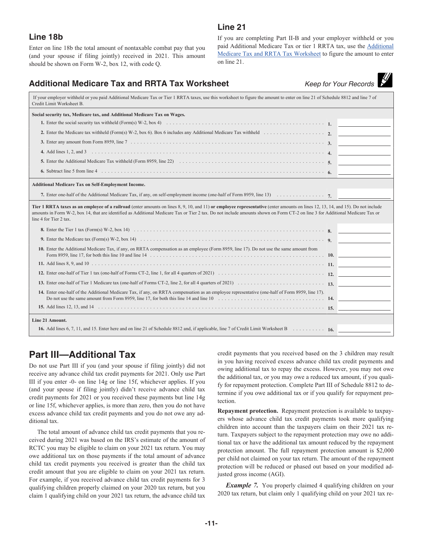#### **Line 21**

# **Line 18b**

Enter on line 18b the total amount of nontaxable combat pay that you (and your spouse if filing jointly) received in 2021. This amount should be shown on Form W-2, box 12, with code Q.

If you are completing Part II-B and your employer withheld or you paid Additional Medicare Tax or tier 1 RRTA tax, use the Additional Medicare Tax and RRTA Tax Worksheet to figure the amount to enter on line 21.

# **Additional Medicare Tax and RRTA Tax Worksheet** *Keep*

|  | ว for Your Records |
|--|--------------------|

| If your employer withheld or you paid Additional Medicare Tax or Tier 1 RRTA taxes, use this worksheet to figure the amount to enter on line 21 of Schedule 8812 and line 7 of<br>Credit Limit Worksheet B.                                                                                                                                                                                |  |
|--------------------------------------------------------------------------------------------------------------------------------------------------------------------------------------------------------------------------------------------------------------------------------------------------------------------------------------------------------------------------------------------|--|
| Social security tax, Medicare tax, and Additional Medicare Tax on Wages.                                                                                                                                                                                                                                                                                                                   |  |
|                                                                                                                                                                                                                                                                                                                                                                                            |  |
|                                                                                                                                                                                                                                                                                                                                                                                            |  |
|                                                                                                                                                                                                                                                                                                                                                                                            |  |
|                                                                                                                                                                                                                                                                                                                                                                                            |  |
|                                                                                                                                                                                                                                                                                                                                                                                            |  |
|                                                                                                                                                                                                                                                                                                                                                                                            |  |
| <b>Additional Medicare Tax on Self-Employment Income.</b>                                                                                                                                                                                                                                                                                                                                  |  |
|                                                                                                                                                                                                                                                                                                                                                                                            |  |
| Tier 1 RRTA taxes as an employee of a railroad (enter amounts on lines 8, 9, 10, and 11) or employee representative (enter amounts on lines 12, 13, 14, and 15). Do not include<br>amounts in Form W-2, box 14, that are identified as Additional Medicare Tax or Tier 2 tax. Do not include amounts shown on Form CT-2 on line 3 for Additional Medicare Tax or<br>line 4 for Tier 2 tax. |  |
|                                                                                                                                                                                                                                                                                                                                                                                            |  |
|                                                                                                                                                                                                                                                                                                                                                                                            |  |
| 10. Enter the Additional Medicare Tax, if any, on RRTA compensation as an employee (Form 8959, line 17). Do not use the same amount from                                                                                                                                                                                                                                                   |  |
|                                                                                                                                                                                                                                                                                                                                                                                            |  |
|                                                                                                                                                                                                                                                                                                                                                                                            |  |
|                                                                                                                                                                                                                                                                                                                                                                                            |  |
| 14. Enter one-half of the Additional Medicare Tax, if any, on RRTA compensation as an employee representative (one-half of Form 8959, line 17).<br>Do not use the same amount from Form 8959, line 17, for both this line 14 and line 10 $\ldots$ , $\ldots$ , $\ldots$ , $\ldots$ , $\ldots$ , $\ldots$ , $\ldots$ , $\ldots$ , 14.                                                       |  |
|                                                                                                                                                                                                                                                                                                                                                                                            |  |
| Line 21 Amount.                                                                                                                                                                                                                                                                                                                                                                            |  |
|                                                                                                                                                                                                                                                                                                                                                                                            |  |
|                                                                                                                                                                                                                                                                                                                                                                                            |  |

# **Part III—Additional Tax**

Do not use Part III if you (and your spouse if filing jointly) did not receive any advance child tax credit payments for 2021. Only use Part III if you enter -0- on line 14g or line 15f, whichever applies. If you (and your spouse if filing jointly) didn't receive advance child tax credit payments for 2021 or you received these payments but line 14g or line 15f, whichever applies, is more than zero, then you do not have excess advance child tax credit payments and you do not owe any additional tax.

The total amount of advance child tax credit payments that you received during 2021 was based on the IRS's estimate of the amount of RCTC you may be eligible to claim on your 2021 tax return. You may owe additional tax on those payments if the total amount of advance child tax credit payments you received is greater than the child tax credit amount that you are eligible to claim on your 2021 tax return. For example, if you received advance child tax credit payments for 3 qualifying children properly claimed on your 2020 tax return, but you claim 1 qualifying child on your 2021 tax return, the advance child tax

credit payments that you received based on the 3 children may result in you having received excess advance child tax credit payments and owing additional tax to repay the excess. However, you may not owe the additional tax, or you may owe a reduced tax amount, if you qualify for repayment protection. Complete Part III of Schedule 8812 to determine if you owe additional tax or if you qualify for repayment protection.

**Repayment protection.** Repayment protection is available to taxpayers whose advance child tax credit payments took more qualifying children into account than the taxpayers claim on their 2021 tax return. Taxpayers subject to the repayment protection may owe no additional tax or have the additional tax amount reduced by the repayment protection amount. The full repayment protection amount is \$2,000 per child not claimed on your tax return. The amount of the repayment protection will be reduced or phased out based on your modified adjusted gross income (AGI).

*Example 7.* You properly claimed 4 qualifying children on your 2020 tax return, but claim only 1 qualifying child on your 2021 tax re-